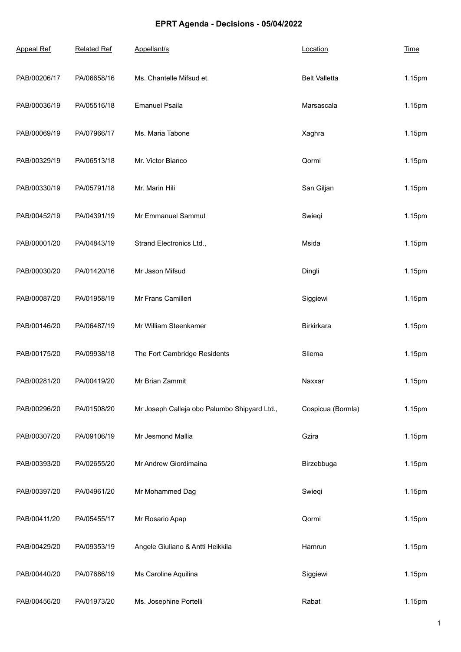## **EPRT Agenda - Decisions - 05/04/2022**

| <b>Appeal Ref</b> | <b>Related Ref</b> | Appellant/s                                  | Location             | <b>Time</b> |
|-------------------|--------------------|----------------------------------------------|----------------------|-------------|
| PAB/00206/17      | PA/06658/16        | Ms. Chantelle Mifsud et.                     | <b>Belt Valletta</b> | 1.15pm      |
| PAB/00036/19      | PA/05516/18        | <b>Emanuel Psaila</b>                        | Marsascala           | 1.15pm      |
| PAB/00069/19      | PA/07966/17        | Ms. Maria Tabone                             | Xaghra               | 1.15pm      |
| PAB/00329/19      | PA/06513/18        | Mr. Victor Bianco                            | Qormi                | 1.15pm      |
| PAB/00330/19      | PA/05791/18        | Mr. Marin Hili                               | San Giljan           | 1.15pm      |
| PAB/00452/19      | PA/04391/19        | Mr Emmanuel Sammut                           | Swieqi               | 1.15pm      |
| PAB/00001/20      | PA/04843/19        | Strand Electronics Ltd.,                     | Msida                | 1.15pm      |
| PAB/00030/20      | PA/01420/16        | Mr Jason Mifsud                              | Dingli               | 1.15pm      |
| PAB/00087/20      | PA/01958/19        | Mr Frans Camilleri                           | Siggiewi             | 1.15pm      |
| PAB/00146/20      | PA/06487/19        | Mr William Steenkamer                        | Birkirkara           | 1.15pm      |
| PAB/00175/20      | PA/09938/18        | The Fort Cambridge Residents                 | Sliema               | 1.15pm      |
| PAB/00281/20      | PA/00419/20        | Mr Brian Zammit                              | Naxxar               | 1.15pm      |
| PAB/00296/20      | PA/01508/20        | Mr Joseph Calleja obo Palumbo Shipyard Ltd., | Cospicua (Bormla)    | 1.15pm      |
| PAB/00307/20      | PA/09106/19        | Mr Jesmond Mallia                            | Gzira                | 1.15pm      |
| PAB/00393/20      | PA/02655/20        | Mr Andrew Giordimaina                        | Birzebbuga           | 1.15pm      |
| PAB/00397/20      | PA/04961/20        | Mr Mohammed Dag                              | Swieqi               | 1.15pm      |
| PAB/00411/20      | PA/05455/17        | Mr Rosario Apap                              | Qormi                | 1.15pm      |
| PAB/00429/20      | PA/09353/19        | Angele Giuliano & Antti Heikkila             | Hamrun               | 1.15pm      |
| PAB/00440/20      | PA/07686/19        | Ms Caroline Aquilina                         | Siggiewi             | 1.15pm      |
| PAB/00456/20      | PA/01973/20        | Ms. Josephine Portelli                       | Rabat                | 1.15pm      |